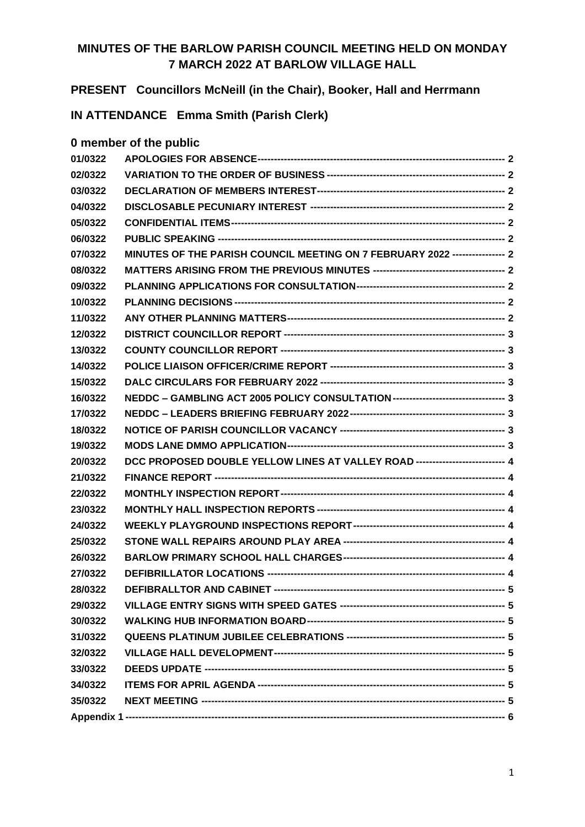## **MINUTES OF THE BARLOW PARISH COUNCIL MEETING HELD ON MONDAY 7 MARCH 2022 AT BARLOW VILLAGE HALL**

**PRESENT Councillors McNeill (in the Chair), Booker, Hall and Herrmann**

**IN ATTENDANCE Emma Smith (Parish Clerk)**

## **0 member of the public**

| 01/0322 |                                                                                   |  |  |  |  |
|---------|-----------------------------------------------------------------------------------|--|--|--|--|
| 02/0322 |                                                                                   |  |  |  |  |
| 03/0322 |                                                                                   |  |  |  |  |
| 04/0322 |                                                                                   |  |  |  |  |
| 05/0322 |                                                                                   |  |  |  |  |
| 06/0322 |                                                                                   |  |  |  |  |
| 07/0322 | MINUTES OF THE PARISH COUNCIL MEETING ON 7 FEBRUARY 2022 ---------------- 2       |  |  |  |  |
| 08/0322 |                                                                                   |  |  |  |  |
| 09/0322 |                                                                                   |  |  |  |  |
| 10/0322 |                                                                                   |  |  |  |  |
| 11/0322 |                                                                                   |  |  |  |  |
| 12/0322 |                                                                                   |  |  |  |  |
| 13/0322 |                                                                                   |  |  |  |  |
| 14/0322 |                                                                                   |  |  |  |  |
| 15/0322 |                                                                                   |  |  |  |  |
| 16/0322 | NEDDC - GAMBLING ACT 2005 POLICY CONSULTATION --------------------------------- 3 |  |  |  |  |
| 17/0322 |                                                                                   |  |  |  |  |
| 18/0322 |                                                                                   |  |  |  |  |
| 19/0322 |                                                                                   |  |  |  |  |
| 20/0322 | DCC PROPOSED DOUBLE YELLOW LINES AT VALLEY ROAD -------------------------- 4      |  |  |  |  |
| 21/0322 |                                                                                   |  |  |  |  |
| 22/0322 |                                                                                   |  |  |  |  |
| 23/0322 |                                                                                   |  |  |  |  |
| 24/0322 |                                                                                   |  |  |  |  |
| 25/0322 |                                                                                   |  |  |  |  |
| 26/0322 |                                                                                   |  |  |  |  |
| 27/0322 |                                                                                   |  |  |  |  |
| 28/0322 |                                                                                   |  |  |  |  |
| 29/0322 |                                                                                   |  |  |  |  |
| 30/0322 |                                                                                   |  |  |  |  |
| 31/0322 |                                                                                   |  |  |  |  |
| 32/0322 |                                                                                   |  |  |  |  |
| 33/0322 |                                                                                   |  |  |  |  |
| 34/0322 |                                                                                   |  |  |  |  |
| 35/0322 |                                                                                   |  |  |  |  |
|         |                                                                                   |  |  |  |  |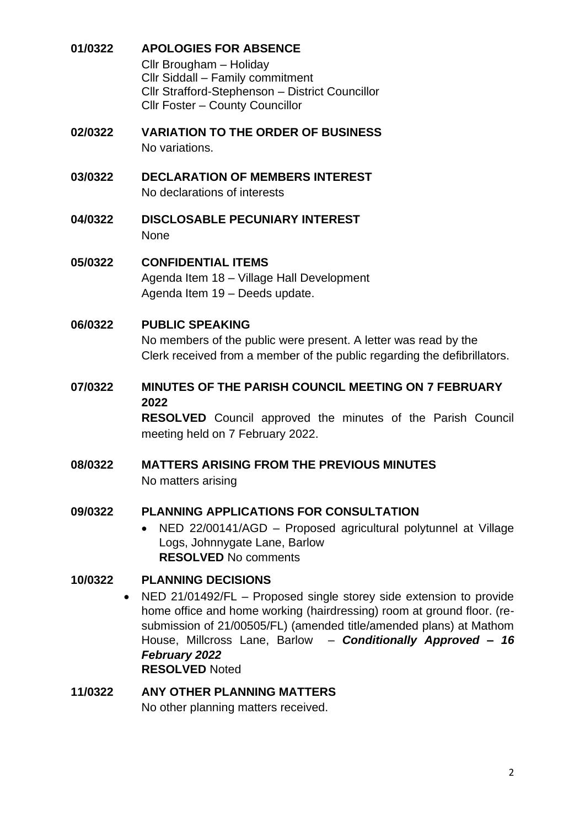## <span id="page-1-0"></span>**01/0322 APOLOGIES FOR ABSENCE**

Cllr Brougham – Holiday Cllr Siddall – Family commitment Cllr Strafford-Stephenson – District Councillor Cllr Foster – County Councillor

- <span id="page-1-1"></span>**02/0322 VARIATION TO THE ORDER OF BUSINESS** No variations.
- <span id="page-1-2"></span>**03/0322 DECLARATION OF MEMBERS INTEREST** No declarations of interests
- <span id="page-1-3"></span>**04/0322 DISCLOSABLE PECUNIARY INTEREST** None
- <span id="page-1-4"></span>**05/0322 CONFIDENTIAL ITEMS** Agenda Item 18 – Village Hall Development Agenda Item 19 – Deeds update.

## <span id="page-1-5"></span>**06/0322 PUBLIC SPEAKING**

No members of the public were present. A letter was read by the Clerk received from a member of the public regarding the defibrillators.

## <span id="page-1-6"></span>**07/0322 MINUTES OF THE PARISH COUNCIL MEETING ON 7 FEBRUARY 2022**

**RESOLVED** Council approved the minutes of the Parish Council meeting held on 7 February 2022.

<span id="page-1-7"></span>**08/0322 MATTERS ARISING FROM THE PREVIOUS MINUTES**  No matters arising

#### <span id="page-1-8"></span>**09/0322 PLANNING APPLICATIONS FOR CONSULTATION**

• NED 22/00141/AGD – Proposed agricultural polytunnel at Village Logs, Johnnygate Lane, Barlow **RESOLVED** No comments

## <span id="page-1-9"></span>**10/0322 PLANNING DECISIONS**

• NED 21/01492/FL – Proposed single storey side extension to provide home office and home working (hairdressing) room at ground floor. (resubmission of 21/00505/FL) (amended title/amended plans) at Mathom House, Millcross Lane, Barlow – *Conditionally Approved – 16 February 2022* **RESOLVED** Noted

#### <span id="page-1-10"></span>**11/0322 ANY OTHER PLANNING MATTERS** No other planning matters received.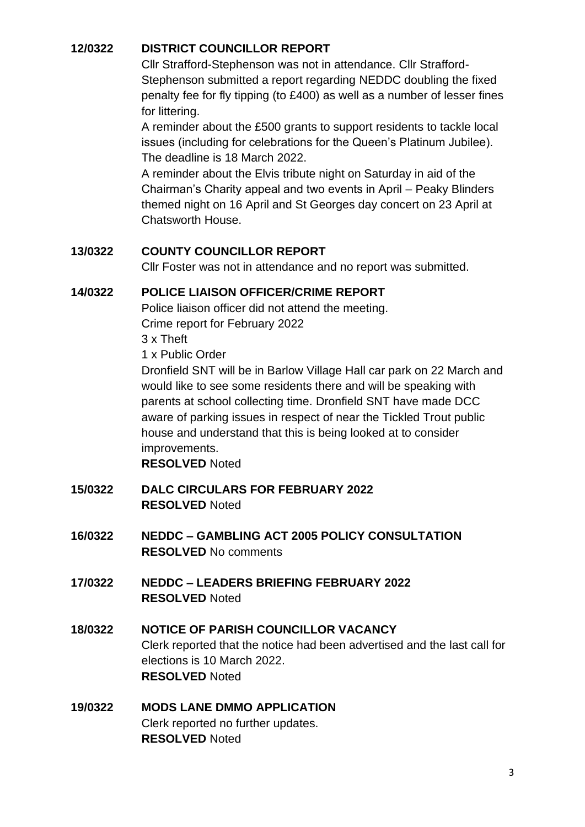# <span id="page-2-0"></span>**12/0322 DISTRICT COUNCILLOR REPORT**

Cllr Strafford-Stephenson was not in attendance. Cllr Strafford-Stephenson submitted a report regarding NEDDC doubling the fixed penalty fee for fly tipping (to £400) as well as a number of lesser fines for littering.

A reminder about the £500 grants to support residents to tackle local issues (including for celebrations for the Queen's Platinum Jubilee). The deadline is 18 March 2022.

A reminder about the Elvis tribute night on Saturday in aid of the Chairman's Charity appeal and two events in April – Peaky Blinders themed night on 16 April and St Georges day concert on 23 April at Chatsworth House.

## <span id="page-2-1"></span>**13/0322 COUNTY COUNCILLOR REPORT**

Cllr Foster was not in attendance and no report was submitted.

## <span id="page-2-2"></span>**14/0322 POLICE LIAISON OFFICER/CRIME REPORT**

Police liaison officer did not attend the meeting. Crime report for February 2022

3 x Theft

1 x Public Order

Dronfield SNT will be in Barlow Village Hall car park on 22 March and would like to see some residents there and will be speaking with parents at school collecting time. Dronfield SNT have made DCC aware of parking issues in respect of near the Tickled Trout public house and understand that this is being looked at to consider improvements.

**RESOLVED** Noted

- <span id="page-2-3"></span>**15/0322 DALC CIRCULARS FOR FEBRUARY 2022 RESOLVED** Noted
- <span id="page-2-4"></span>**16/0322 NEDDC – GAMBLING ACT 2005 POLICY CONSULTATION RESOLVED** No comments
- <span id="page-2-5"></span>**17/0322 NEDDC – LEADERS BRIEFING FEBRUARY 2022 RESOLVED** Noted
- <span id="page-2-6"></span>**18/0322 NOTICE OF PARISH COUNCILLOR VACANCY** Clerk reported that the notice had been advertised and the last call for elections is 10 March 2022. **RESOLVED** Noted

## <span id="page-2-7"></span>**19/0322 MODS LANE DMMO APPLICATION** Clerk reported no further updates. **RESOLVED** Noted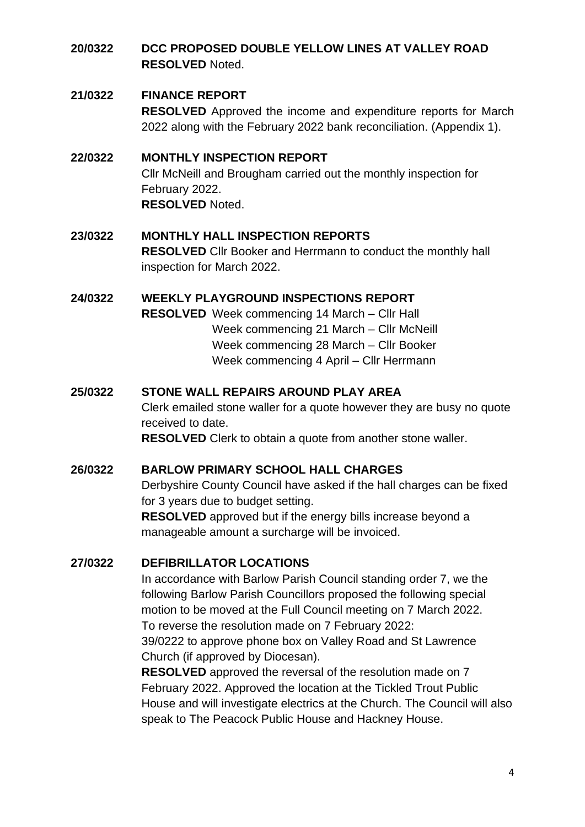## <span id="page-3-0"></span>**20/0322 DCC PROPOSED DOUBLE YELLOW LINES AT VALLEY ROAD RESOLVED** Noted.

#### <span id="page-3-1"></span>**21/0322 FINANCE REPORT**

**RESOLVED** Approved the income and expenditure reports for March 2022 along with the February 2022 bank reconciliation. (Appendix 1).

#### <span id="page-3-2"></span>**22/0322 MONTHLY INSPECTION REPORT**

Cllr McNeill and Brougham carried out the monthly inspection for February 2022. **RESOLVED** Noted.

#### <span id="page-3-3"></span>**23/0322 MONTHLY HALL INSPECTION REPORTS**

**RESOLVED** Cllr Booker and Herrmann to conduct the monthly hall inspection for March 2022.

#### <span id="page-3-4"></span>**24/0322 WEEKLY PLAYGROUND INSPECTIONS REPORT**

**RESOLVED** Week commencing 14 March – Cllr Hall Week commencing 21 March – Cllr McNeill Week commencing 28 March – Cllr Booker Week commencing 4 April – Cllr Herrmann

## <span id="page-3-5"></span>**25/0322 STONE WALL REPAIRS AROUND PLAY AREA**

Clerk emailed stone waller for a quote however they are busy no quote received to date.

**RESOLVED** Clerk to obtain a quote from another stone waller.

#### <span id="page-3-6"></span>**26/0322 BARLOW PRIMARY SCHOOL HALL CHARGES**

Derbyshire County Council have asked if the hall charges can be fixed for 3 years due to budget setting.

**RESOLVED** approved but if the energy bills increase beyond a manageable amount a surcharge will be invoiced.

## <span id="page-3-7"></span>**27/0322 DEFIBRILLATOR LOCATIONS**

In accordance with Barlow Parish Council standing order 7, we the following Barlow Parish Councillors proposed the following special motion to be moved at the Full Council meeting on 7 March 2022. To reverse the resolution made on 7 February 2022:

39/0222 to approve phone box on Valley Road and St Lawrence Church (if approved by Diocesan).

**RESOLVED** approved the reversal of the resolution made on 7 February 2022. Approved the location at the Tickled Trout Public House and will investigate electrics at the Church. The Council will also speak to The Peacock Public House and Hackney House.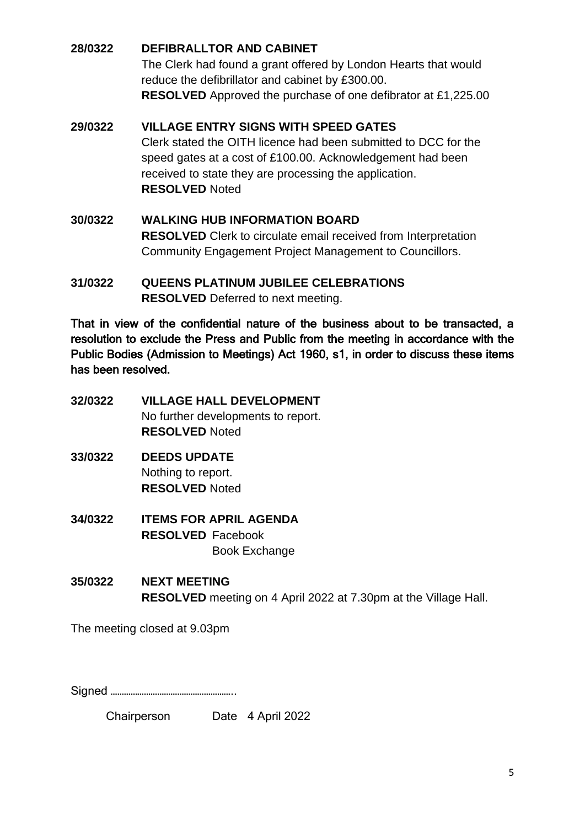# <span id="page-4-0"></span>**28/0322 DEFIBRALLTOR AND CABINET**

The Clerk had found a grant offered by London Hearts that would reduce the defibrillator and cabinet by £300.00. **RESOLVED** Approved the purchase of one defibrator at £1,225.00

# <span id="page-4-1"></span>**29/0322 VILLAGE ENTRY SIGNS WITH SPEED GATES**

Clerk stated the OITH licence had been submitted to DCC for the speed gates at a cost of £100.00. Acknowledgement had been received to state they are processing the application. **RESOLVED** Noted

- <span id="page-4-2"></span>**30/0322 WALKING HUB INFORMATION BOARD RESOLVED** Clerk to circulate email received from Interpretation Community Engagement Project Management to Councillors.
- <span id="page-4-3"></span>**31/0322 QUEENS PLATINUM JUBILEE CELEBRATIONS RESOLVED** Deferred to next meeting.

That in view of the confidential nature of the business about to be transacted, a resolution to exclude the Press and Public from the meeting in accordance with the Public Bodies (Admission to Meetings) Act 1960, s1, in order to discuss these items has been resolved.

- <span id="page-4-4"></span>**32/0322 VILLAGE HALL DEVELOPMENT** No further developments to report. **RESOLVED** Noted
- <span id="page-4-5"></span>**33/0322 DEEDS UPDATE** Nothing to report. **RESOLVED** Noted
- <span id="page-4-6"></span>**34/0322 ITEMS FOR APRIL AGENDA RESOLVED** Facebook Book Exchange
- <span id="page-4-7"></span>**35/0322 NEXT MEETING RESOLVED** meeting on 4 April 2022 at 7.30pm at the Village Hall.

The meeting closed at 9.03pm

Signed ………………………………………………..

Chairperson Date 4 April 2022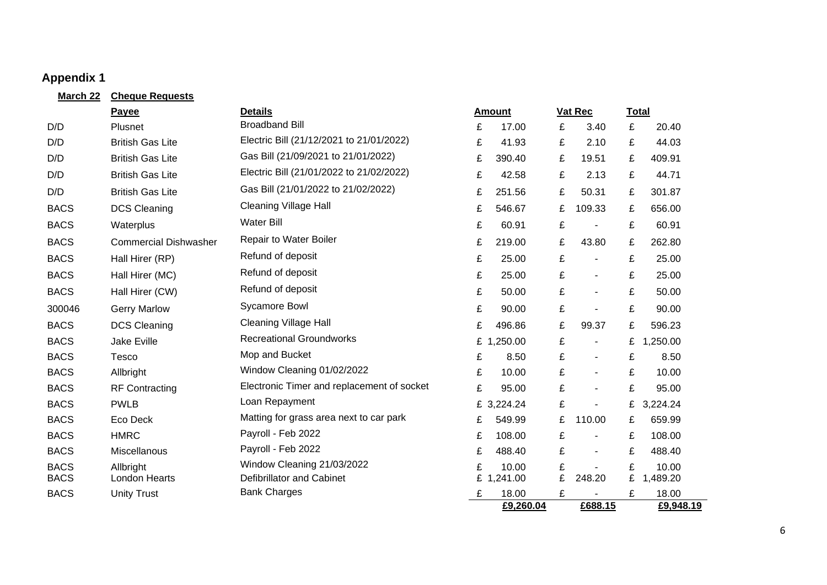# **Appendix 1**

<span id="page-5-0"></span>

| March 22    | <b>Cheque Requests</b>       |                                            |   |               |   |                |   |              |
|-------------|------------------------------|--------------------------------------------|---|---------------|---|----------------|---|--------------|
|             | Payee                        | <b>Details</b>                             |   | <b>Amount</b> |   | Vat Rec        |   | <b>Total</b> |
| D/D         | Plusnet                      | <b>Broadband Bill</b>                      | £ | 17.00         | £ | 3.40           | £ | 20.40        |
| D/D         | <b>British Gas Lite</b>      | Electric Bill (21/12/2021 to 21/01/2022)   | £ | 41.93         | £ | 2.10           | £ | 44.03        |
| D/D         | <b>British Gas Lite</b>      | Gas Bill (21/09/2021 to 21/01/2022)        | £ | 390.40        | £ | 19.51          | £ | 409.91       |
| D/D         | <b>British Gas Lite</b>      | Electric Bill (21/01/2022 to 21/02/2022)   | £ | 42.58         | £ | 2.13           | £ | 44.71        |
| D/D         | <b>British Gas Lite</b>      | Gas Bill (21/01/2022 to 21/02/2022)        | £ | 251.56        | £ | 50.31          | £ | 301.87       |
| <b>BACS</b> | <b>DCS Cleaning</b>          | <b>Cleaning Village Hall</b>               | £ | 546.67        | £ | 109.33         | £ | 656.00       |
| <b>BACS</b> | Waterplus                    | <b>Water Bill</b>                          | £ | 60.91         | £ |                | £ | 60.91        |
| <b>BACS</b> | <b>Commercial Dishwasher</b> | Repair to Water Boiler                     | £ | 219.00        | £ | 43.80          | £ | 262.80       |
| <b>BACS</b> | Hall Hirer (RP)              | Refund of deposit                          | £ | 25.00         | £ | $\blacksquare$ | £ | 25.00        |
| <b>BACS</b> | Hall Hirer (MC)              | Refund of deposit                          | £ | 25.00         | £ | $\blacksquare$ | £ | 25.00        |
| <b>BACS</b> | Hall Hirer (CW)              | Refund of deposit                          | £ | 50.00         | £ | $\blacksquare$ | £ | 50.00        |
| 300046      | <b>Gerry Marlow</b>          | <b>Sycamore Bowl</b>                       | £ | 90.00         | £ |                | £ | 90.00        |
| <b>BACS</b> | <b>DCS Cleaning</b>          | <b>Cleaning Village Hall</b>               | £ | 496.86        | £ | 99.37          | £ | 596.23       |
| <b>BACS</b> | <b>Jake Eville</b>           | <b>Recreational Groundworks</b>            |   | £ 1,250.00    | £ | $\blacksquare$ | £ | 1,250.00     |
| <b>BACS</b> | <b>Tesco</b>                 | Mop and Bucket                             | £ | 8.50          | £ | $\blacksquare$ | £ | 8.50         |
| <b>BACS</b> | Allbright                    | Window Cleaning 01/02/2022                 | £ | 10.00         | £ | $\blacksquare$ | £ | 10.00        |
| <b>BACS</b> | <b>RF Contracting</b>        | Electronic Timer and replacement of socket | £ | 95.00         | £ | $\blacksquare$ | £ | 95.00        |
| <b>BACS</b> | <b>PWLB</b>                  | Loan Repayment                             |   | £ 3,224.24    | £ |                | £ | 3,224.24     |
| <b>BACS</b> | Eco Deck                     | Matting for grass area next to car park    | £ | 549.99        | £ | 110.00         | £ | 659.99       |
| <b>BACS</b> | <b>HMRC</b>                  | Payroll - Feb 2022                         | £ | 108.00        | £ | $\blacksquare$ | £ | 108.00       |
| <b>BACS</b> | Miscellanous                 | Payroll - Feb 2022                         | £ | 488.40        | £ | $\sim$         | £ | 488.40       |
| <b>BACS</b> | Allbright                    | Window Cleaning 21/03/2022                 | £ | 10.00         | £ |                | £ | 10.00        |
| <b>BACS</b> | <b>London Hearts</b>         | Defibrillator and Cabinet                  |   | £ 1,241.00    | £ | 248.20         | £ | 1,489.20     |
| <b>BACS</b> | <b>Unity Trust</b>           | <b>Bank Charges</b>                        | £ | 18.00         | £ |                | £ | 18.00        |
|             |                              |                                            |   | £9,260.04     |   | £688.15        |   | £9,948.19    |